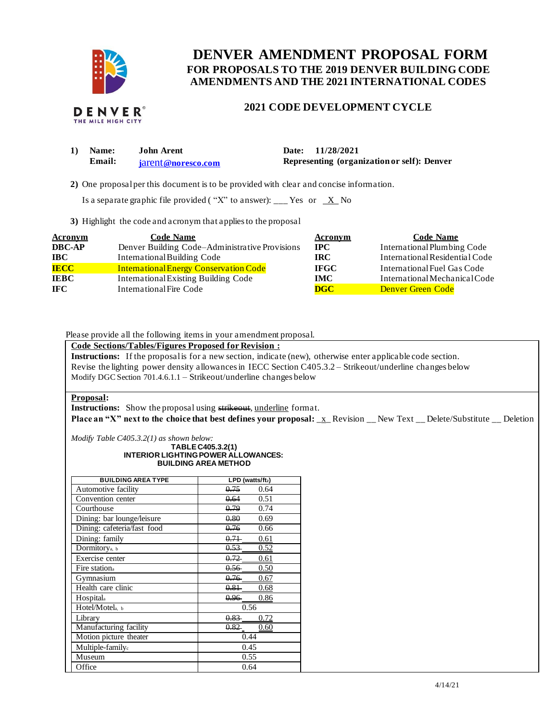

# **FOR PROPOSALS TO THE 2019 DENVER BUILDING CODE DENVER AMENDMENT PROPOSAL FORM AMENDMENTS AND THE 2021 INTERNATIONAL CODES**

# **2021 CODE DEVELOPMENT CYCLE**

| 1) Name: | <b>John Arent</b>  | Date: 11/28/2021                            |
|----------|--------------------|---------------------------------------------|
| Email:   | iarent@noresco.com | Representing (organization or self): Denver |

**2)** One proposalper this document is to be provided with clear and concise information.

Is a separate graphic file provided ("X" to answer): \_\_\_ Yes or  $X$  No

**3)** Highlight the code and acronym that applies to the proposal

| <b>Acronym</b> | <b>Code Name</b>                               | Acronym     | <b>Code Name</b>               |
|----------------|------------------------------------------------|-------------|--------------------------------|
| <b>DBC-AP</b>  | Denver Building Code–Administrative Provisions | $\bf IPC$   | International Plumbing Code    |
| <b>IBC</b>     | International Building Code                    | IRC-        | International Residential Code |
| <b>IECC</b>    | <b>International Energy Conservation Code</b>  | <b>IFGC</b> | International Fuel Gas Code    |
| <b>IEBC</b>    | <b>International Existing Building Code</b>    | <b>IMC</b>  | International Mechanical Code  |
| <b>IFC</b>     | International Fire Code                        | <b>DGC</b>  | <b>Denver Green Code</b>       |

Please provide all the following items in your amendment proposal.

### **Code Sections/Tables/Figures Proposed for Revision :**

 **Instructions:** If the proposalis for a new section, indicate (new), otherwise enter applicable code section. Revise the lighting power density allowances in IECC Section C405.3.2 – Strikeout/underline changes below Modify DGC Section 701.4.6.1.1 – Strikeout/underline changes below

### **Proposal:**

**Instructions:** Show the proposal using strikeout, underline format.

 **Place an "X" next to the choice that best defines your proposal:** \_x\_ Revision \_\_ New Text \_\_ Delete/Substitute \_\_ Deletion

*Modify Table C405.3.2(1) as shown below:* 

#### **INTERIOR LIGHTINGPOWER ALLOWANCES: BUILDING AREA METHOD TABLE C405.3.2(1)**

| <b>BUILDING AREA TYPE</b>   | LPD (watts/ft2)  |  |  |
|-----------------------------|------------------|--|--|
| Automotive facility         | 0.75<br>0.64     |  |  |
| Convention center           | 0.64<br>0.51     |  |  |
| Courthouse                  | 0.74<br>0.79     |  |  |
| Dining: bar lounge/leisure  | 0.69<br>0.80     |  |  |
| Dining: cafeteria/fast food | 0.76<br>0.66     |  |  |
| Dining: family              | 0.71<br>0.61     |  |  |
| Dormitory <sub>a</sub> , b  | $0.53 -$<br>0.52 |  |  |
| Exercise center             | $0.72 -$<br>0.61 |  |  |
| Fire station <sub>a</sub>   | 0.56<br>0.50     |  |  |
| Gymnasium                   | $0.76 -$<br>0.67 |  |  |
| Health care clinic          | 0.81<br>0.68     |  |  |
| Hospitala                   | $0.96 -$<br>0.86 |  |  |
| Hotel/Motela, b             | 0.56             |  |  |
| Library                     | $0.83 -$<br>0.72 |  |  |
| Manufacturing facility      | $0.82 -$<br>0.60 |  |  |
| Motion picture theater      | 0.44             |  |  |
| Multiple-family.            | 0.45             |  |  |
| Museum                      | 0.55             |  |  |
| Office                      | 0.64             |  |  |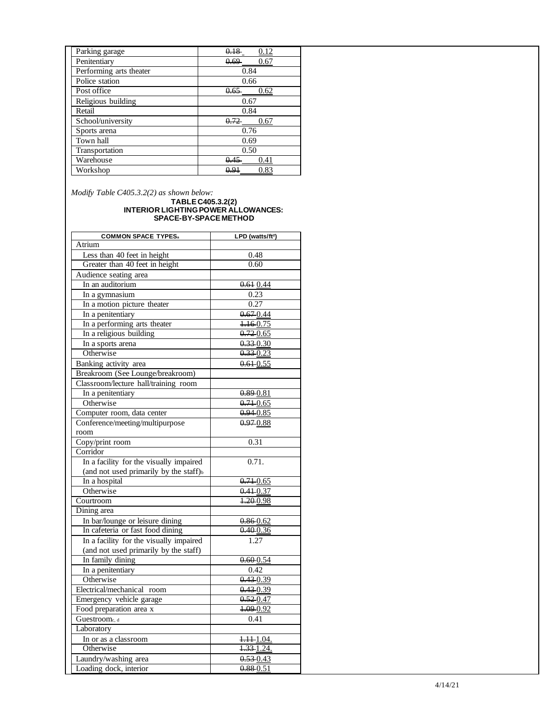| Parking garage          |                  |
|-------------------------|------------------|
| Penitentiary            | 0.69<br>0.67     |
| Performing arts theater | 0.84             |
| Police station          | 0.66             |
| Post office             | $0.65 -$<br>0.62 |
| Religious building      | 0.67             |
| Retail                  | 0.84             |
| School/university       | 0.72<br>0.67     |
| Sports arena            | 0.76             |
| Town hall               | 0.69             |
| Transportation          | 0.50             |
| Warehouse               | 0.45<br>0.41     |
| Workshop                | 0.83<br>0.91     |

*Modify Table C405.3.2(2) as shown below:* 

#### **TABLE C405.3.2(2) INTERIOR LIGHTINGPOWER ALLOWANCES: SPACE -BY -SPACE METHOD**

| <b>COMMON SPACE TYPES</b>                          | LPD (watts/ft <sup>2</sup> ) |
|----------------------------------------------------|------------------------------|
| Atrium                                             |                              |
| Less than 40 feet in height                        | 0.48                         |
| Greater than 40 feet in height                     | 0.60                         |
| Audience seating area                              |                              |
| In an auditorium                                   | 0.610.44                     |
| In a gymnasium                                     | 0.23                         |
| In a motion picture theater                        | 0.27                         |
| In a penitentiary                                  | 0.670.44                     |
| In a performing arts theater                       | 1.160.75                     |
| In a religious building                            | $0.72 - 0.65$                |
| In a sports arena                                  | $0.33 - 0.30$                |
| Otherwise                                          | $0.33 - 0.23$                |
| Banking activity area                              | $0.61 - 0.55$                |
| Breakroom (See Lounge/breakroom)                   |                              |
| Classroom/lecture hall/training room               |                              |
| In a penitentiary                                  | 0.89 0.81                    |
| Otherwise                                          | $0.71 - 0.65$                |
| Computer room, data center                         | 0.94 0.85                    |
| Conference/meeting/multipurpose                    | $0.97 - 0.88$                |
| room                                               |                              |
| Copy/print room                                    | 0.31                         |
| Corridor                                           |                              |
| In a facility for the visually impaired            | 0.71.                        |
| (and not used primarily by the staff) <sup>b</sup> |                              |
| In a hospital                                      | $0.71 - 0.65$                |
| Otherwise                                          | $0.41 - 0.37$                |
| Courtroom                                          | 1.200.98                     |
| Dining area                                        |                              |
| In bar/lounge or leisure dining                    | 0.86 0.62                    |
| In cafeteria or fast food dining                   | 0.400.36                     |
| In a facility for the visually impaired            | 1.27                         |
| (and not used primarily by the staff)              |                              |
| In family dining                                   | 0.60 0.54                    |
| In a penitentiary                                  | 0.42                         |
| Otherwise                                          | $0.43 - 0.39$                |
| Electrical/mechanical room                         | $0.43 - 0.39$                |
| Emergency vehicle garage                           | $0.52 - 0.47$                |
| Food preparation area x                            | 1.09 0.92                    |
| Guestroome, d                                      | 0.41                         |
| Laboratory                                         |                              |
| In or as a classroom                               | $1.11 - 1.04$                |
| Otherwise                                          | $1.33 - 1.24$ .              |
| Laundry/washing area                               | $0.53 - 0.43$                |
| Loading dock, interior                             | 0.88 0.51                    |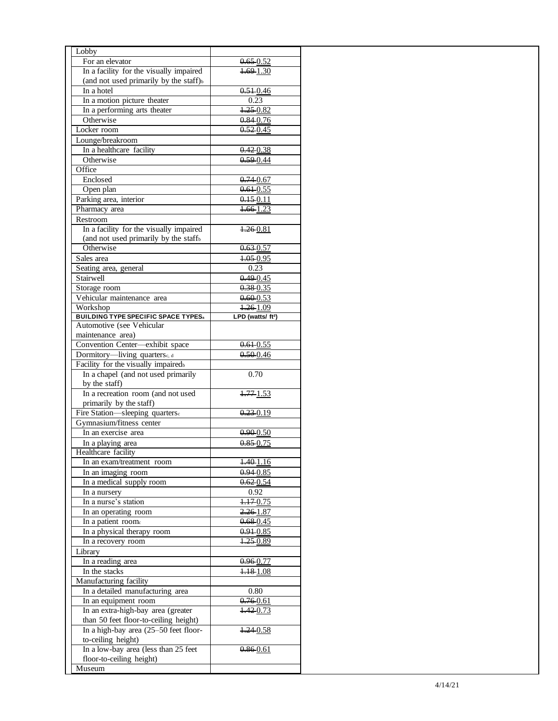| For an elevator<br>$0.65 - 0.52$<br>In a facility for the visually impaired<br>$1.69 - 1.30$<br>(and not used primarily by the staff) $_b$<br>In a hotel<br>$0.51 - 0.46$<br>In a motion picture theater<br>0.23<br>In a performing arts theater<br>$1.25 - 0.82$<br>Otherwise<br>$0.84 - 0.76$<br>Locker room<br>$0.52 - 0.45$<br>Lounge/breakroom<br>In a healthcare facility<br>$0.42 - 0.38$<br>Otherwise<br>$0.59 - 0.44$<br>Office<br>Enclosed<br>$0.74 - 0.67$<br>Open plan<br>$0.61 - 0.55$<br>Parking area, interior<br>0.15 0.11<br>$1.66 - 1.23$<br>Pharmacy area<br>Restroom<br>In a facility for the visually impaired<br>1.26 0.81<br>(and not used primarily by the staff <sub>b</sub><br>Otherwise<br>$0.63 - 0.57$<br>$1.05 - 0.95$<br>Sales area<br>0.23<br>Seating area, general<br>Stairwell<br>0.49 0.45<br>Storage room<br>$0.38 - 0.35$<br>Vehicular maintenance area<br>$0.60 - 0.53$<br>$4.26 - 1.09$<br>Workshop<br><b>BUILDING TYPE SPECIFIC SPACE TYPES</b><br>LPD (watts/ ft <sup>2</sup> )<br>Automotive (see Vehicular<br>maintenance area)<br>Convention Center-exhibit space<br>$0.61 - 0.55$<br>Dormitory-living quarters., d<br>$0.50 - 0.46$<br>Facility for the visually impairedb<br>In a chapel (and not used primarily<br>0.70<br>by the staff)<br>In a recreation room (and not used<br>1.771.53<br>primarily by the staff)<br>Fire Station-sleeping quarters.<br>$0.23 - 0.19$<br>Gymnasium/fitness center<br>In an exercise area<br>$0.90 - 0.50$<br>$0.85 - 0.75$<br>In a playing area<br>Healthcare facility<br>1.401.16<br>In an exam/treatment room<br>In an imaging room<br>$0.94 - 0.85$<br>In a medical supply room<br>$0.62 - 0.54$<br>0.92<br>In a nursery<br>In a nurse's station<br>$1.17 - 0.75$<br>In an operating room<br>$2.26 - 1.87$<br>$0.68 - 0.45$<br>In a patient room.<br>In a physical therapy room<br>$0.91 - 0.85$<br>1.25 0.89<br>In a recovery room<br>Library<br>In a reading area<br>0.96-0.77<br>In the stacks<br>1.181.08<br>Manufacturing facility<br>In a detailed manufacturing area<br>0.80<br>In an equipment room<br>0.760.61<br>In an extra-high-bay area (greater<br>4.420.73<br>than 50 feet floor-to-ceiling height)<br>In a high-bay area (25-50 feet floor-<br>1.24 0.58<br>to-ceiling height)<br>In a low-bay area (less than 25 feet<br>0.86 0.61 | Lobby |  |
|-------------------------------------------------------------------------------------------------------------------------------------------------------------------------------------------------------------------------------------------------------------------------------------------------------------------------------------------------------------------------------------------------------------------------------------------------------------------------------------------------------------------------------------------------------------------------------------------------------------------------------------------------------------------------------------------------------------------------------------------------------------------------------------------------------------------------------------------------------------------------------------------------------------------------------------------------------------------------------------------------------------------------------------------------------------------------------------------------------------------------------------------------------------------------------------------------------------------------------------------------------------------------------------------------------------------------------------------------------------------------------------------------------------------------------------------------------------------------------------------------------------------------------------------------------------------------------------------------------------------------------------------------------------------------------------------------------------------------------------------------------------------------------------------------------------------------------------------------------------------------------------------------------------------------------------------------------------------------------------------------------------------------------------------------------------------------------------------------------------------------------------------------------------------------------------------------------------------------------------------------------------------------------------------------------------------------------------------|-------|--|
|                                                                                                                                                                                                                                                                                                                                                                                                                                                                                                                                                                                                                                                                                                                                                                                                                                                                                                                                                                                                                                                                                                                                                                                                                                                                                                                                                                                                                                                                                                                                                                                                                                                                                                                                                                                                                                                                                                                                                                                                                                                                                                                                                                                                                                                                                                                                           |       |  |
|                                                                                                                                                                                                                                                                                                                                                                                                                                                                                                                                                                                                                                                                                                                                                                                                                                                                                                                                                                                                                                                                                                                                                                                                                                                                                                                                                                                                                                                                                                                                                                                                                                                                                                                                                                                                                                                                                                                                                                                                                                                                                                                                                                                                                                                                                                                                           |       |  |
|                                                                                                                                                                                                                                                                                                                                                                                                                                                                                                                                                                                                                                                                                                                                                                                                                                                                                                                                                                                                                                                                                                                                                                                                                                                                                                                                                                                                                                                                                                                                                                                                                                                                                                                                                                                                                                                                                                                                                                                                                                                                                                                                                                                                                                                                                                                                           |       |  |
|                                                                                                                                                                                                                                                                                                                                                                                                                                                                                                                                                                                                                                                                                                                                                                                                                                                                                                                                                                                                                                                                                                                                                                                                                                                                                                                                                                                                                                                                                                                                                                                                                                                                                                                                                                                                                                                                                                                                                                                                                                                                                                                                                                                                                                                                                                                                           |       |  |
|                                                                                                                                                                                                                                                                                                                                                                                                                                                                                                                                                                                                                                                                                                                                                                                                                                                                                                                                                                                                                                                                                                                                                                                                                                                                                                                                                                                                                                                                                                                                                                                                                                                                                                                                                                                                                                                                                                                                                                                                                                                                                                                                                                                                                                                                                                                                           |       |  |
|                                                                                                                                                                                                                                                                                                                                                                                                                                                                                                                                                                                                                                                                                                                                                                                                                                                                                                                                                                                                                                                                                                                                                                                                                                                                                                                                                                                                                                                                                                                                                                                                                                                                                                                                                                                                                                                                                                                                                                                                                                                                                                                                                                                                                                                                                                                                           |       |  |
|                                                                                                                                                                                                                                                                                                                                                                                                                                                                                                                                                                                                                                                                                                                                                                                                                                                                                                                                                                                                                                                                                                                                                                                                                                                                                                                                                                                                                                                                                                                                                                                                                                                                                                                                                                                                                                                                                                                                                                                                                                                                                                                                                                                                                                                                                                                                           |       |  |
|                                                                                                                                                                                                                                                                                                                                                                                                                                                                                                                                                                                                                                                                                                                                                                                                                                                                                                                                                                                                                                                                                                                                                                                                                                                                                                                                                                                                                                                                                                                                                                                                                                                                                                                                                                                                                                                                                                                                                                                                                                                                                                                                                                                                                                                                                                                                           |       |  |
|                                                                                                                                                                                                                                                                                                                                                                                                                                                                                                                                                                                                                                                                                                                                                                                                                                                                                                                                                                                                                                                                                                                                                                                                                                                                                                                                                                                                                                                                                                                                                                                                                                                                                                                                                                                                                                                                                                                                                                                                                                                                                                                                                                                                                                                                                                                                           |       |  |
|                                                                                                                                                                                                                                                                                                                                                                                                                                                                                                                                                                                                                                                                                                                                                                                                                                                                                                                                                                                                                                                                                                                                                                                                                                                                                                                                                                                                                                                                                                                                                                                                                                                                                                                                                                                                                                                                                                                                                                                                                                                                                                                                                                                                                                                                                                                                           |       |  |
|                                                                                                                                                                                                                                                                                                                                                                                                                                                                                                                                                                                                                                                                                                                                                                                                                                                                                                                                                                                                                                                                                                                                                                                                                                                                                                                                                                                                                                                                                                                                                                                                                                                                                                                                                                                                                                                                                                                                                                                                                                                                                                                                                                                                                                                                                                                                           |       |  |
|                                                                                                                                                                                                                                                                                                                                                                                                                                                                                                                                                                                                                                                                                                                                                                                                                                                                                                                                                                                                                                                                                                                                                                                                                                                                                                                                                                                                                                                                                                                                                                                                                                                                                                                                                                                                                                                                                                                                                                                                                                                                                                                                                                                                                                                                                                                                           |       |  |
|                                                                                                                                                                                                                                                                                                                                                                                                                                                                                                                                                                                                                                                                                                                                                                                                                                                                                                                                                                                                                                                                                                                                                                                                                                                                                                                                                                                                                                                                                                                                                                                                                                                                                                                                                                                                                                                                                                                                                                                                                                                                                                                                                                                                                                                                                                                                           |       |  |
|                                                                                                                                                                                                                                                                                                                                                                                                                                                                                                                                                                                                                                                                                                                                                                                                                                                                                                                                                                                                                                                                                                                                                                                                                                                                                                                                                                                                                                                                                                                                                                                                                                                                                                                                                                                                                                                                                                                                                                                                                                                                                                                                                                                                                                                                                                                                           |       |  |
|                                                                                                                                                                                                                                                                                                                                                                                                                                                                                                                                                                                                                                                                                                                                                                                                                                                                                                                                                                                                                                                                                                                                                                                                                                                                                                                                                                                                                                                                                                                                                                                                                                                                                                                                                                                                                                                                                                                                                                                                                                                                                                                                                                                                                                                                                                                                           |       |  |
|                                                                                                                                                                                                                                                                                                                                                                                                                                                                                                                                                                                                                                                                                                                                                                                                                                                                                                                                                                                                                                                                                                                                                                                                                                                                                                                                                                                                                                                                                                                                                                                                                                                                                                                                                                                                                                                                                                                                                                                                                                                                                                                                                                                                                                                                                                                                           |       |  |
|                                                                                                                                                                                                                                                                                                                                                                                                                                                                                                                                                                                                                                                                                                                                                                                                                                                                                                                                                                                                                                                                                                                                                                                                                                                                                                                                                                                                                                                                                                                                                                                                                                                                                                                                                                                                                                                                                                                                                                                                                                                                                                                                                                                                                                                                                                                                           |       |  |
|                                                                                                                                                                                                                                                                                                                                                                                                                                                                                                                                                                                                                                                                                                                                                                                                                                                                                                                                                                                                                                                                                                                                                                                                                                                                                                                                                                                                                                                                                                                                                                                                                                                                                                                                                                                                                                                                                                                                                                                                                                                                                                                                                                                                                                                                                                                                           |       |  |
|                                                                                                                                                                                                                                                                                                                                                                                                                                                                                                                                                                                                                                                                                                                                                                                                                                                                                                                                                                                                                                                                                                                                                                                                                                                                                                                                                                                                                                                                                                                                                                                                                                                                                                                                                                                                                                                                                                                                                                                                                                                                                                                                                                                                                                                                                                                                           |       |  |
|                                                                                                                                                                                                                                                                                                                                                                                                                                                                                                                                                                                                                                                                                                                                                                                                                                                                                                                                                                                                                                                                                                                                                                                                                                                                                                                                                                                                                                                                                                                                                                                                                                                                                                                                                                                                                                                                                                                                                                                                                                                                                                                                                                                                                                                                                                                                           |       |  |
|                                                                                                                                                                                                                                                                                                                                                                                                                                                                                                                                                                                                                                                                                                                                                                                                                                                                                                                                                                                                                                                                                                                                                                                                                                                                                                                                                                                                                                                                                                                                                                                                                                                                                                                                                                                                                                                                                                                                                                                                                                                                                                                                                                                                                                                                                                                                           |       |  |
|                                                                                                                                                                                                                                                                                                                                                                                                                                                                                                                                                                                                                                                                                                                                                                                                                                                                                                                                                                                                                                                                                                                                                                                                                                                                                                                                                                                                                                                                                                                                                                                                                                                                                                                                                                                                                                                                                                                                                                                                                                                                                                                                                                                                                                                                                                                                           |       |  |
|                                                                                                                                                                                                                                                                                                                                                                                                                                                                                                                                                                                                                                                                                                                                                                                                                                                                                                                                                                                                                                                                                                                                                                                                                                                                                                                                                                                                                                                                                                                                                                                                                                                                                                                                                                                                                                                                                                                                                                                                                                                                                                                                                                                                                                                                                                                                           |       |  |
|                                                                                                                                                                                                                                                                                                                                                                                                                                                                                                                                                                                                                                                                                                                                                                                                                                                                                                                                                                                                                                                                                                                                                                                                                                                                                                                                                                                                                                                                                                                                                                                                                                                                                                                                                                                                                                                                                                                                                                                                                                                                                                                                                                                                                                                                                                                                           |       |  |
|                                                                                                                                                                                                                                                                                                                                                                                                                                                                                                                                                                                                                                                                                                                                                                                                                                                                                                                                                                                                                                                                                                                                                                                                                                                                                                                                                                                                                                                                                                                                                                                                                                                                                                                                                                                                                                                                                                                                                                                                                                                                                                                                                                                                                                                                                                                                           |       |  |
|                                                                                                                                                                                                                                                                                                                                                                                                                                                                                                                                                                                                                                                                                                                                                                                                                                                                                                                                                                                                                                                                                                                                                                                                                                                                                                                                                                                                                                                                                                                                                                                                                                                                                                                                                                                                                                                                                                                                                                                                                                                                                                                                                                                                                                                                                                                                           |       |  |
|                                                                                                                                                                                                                                                                                                                                                                                                                                                                                                                                                                                                                                                                                                                                                                                                                                                                                                                                                                                                                                                                                                                                                                                                                                                                                                                                                                                                                                                                                                                                                                                                                                                                                                                                                                                                                                                                                                                                                                                                                                                                                                                                                                                                                                                                                                                                           |       |  |
|                                                                                                                                                                                                                                                                                                                                                                                                                                                                                                                                                                                                                                                                                                                                                                                                                                                                                                                                                                                                                                                                                                                                                                                                                                                                                                                                                                                                                                                                                                                                                                                                                                                                                                                                                                                                                                                                                                                                                                                                                                                                                                                                                                                                                                                                                                                                           |       |  |
|                                                                                                                                                                                                                                                                                                                                                                                                                                                                                                                                                                                                                                                                                                                                                                                                                                                                                                                                                                                                                                                                                                                                                                                                                                                                                                                                                                                                                                                                                                                                                                                                                                                                                                                                                                                                                                                                                                                                                                                                                                                                                                                                                                                                                                                                                                                                           |       |  |
|                                                                                                                                                                                                                                                                                                                                                                                                                                                                                                                                                                                                                                                                                                                                                                                                                                                                                                                                                                                                                                                                                                                                                                                                                                                                                                                                                                                                                                                                                                                                                                                                                                                                                                                                                                                                                                                                                                                                                                                                                                                                                                                                                                                                                                                                                                                                           |       |  |
|                                                                                                                                                                                                                                                                                                                                                                                                                                                                                                                                                                                                                                                                                                                                                                                                                                                                                                                                                                                                                                                                                                                                                                                                                                                                                                                                                                                                                                                                                                                                                                                                                                                                                                                                                                                                                                                                                                                                                                                                                                                                                                                                                                                                                                                                                                                                           |       |  |
|                                                                                                                                                                                                                                                                                                                                                                                                                                                                                                                                                                                                                                                                                                                                                                                                                                                                                                                                                                                                                                                                                                                                                                                                                                                                                                                                                                                                                                                                                                                                                                                                                                                                                                                                                                                                                                                                                                                                                                                                                                                                                                                                                                                                                                                                                                                                           |       |  |
|                                                                                                                                                                                                                                                                                                                                                                                                                                                                                                                                                                                                                                                                                                                                                                                                                                                                                                                                                                                                                                                                                                                                                                                                                                                                                                                                                                                                                                                                                                                                                                                                                                                                                                                                                                                                                                                                                                                                                                                                                                                                                                                                                                                                                                                                                                                                           |       |  |
|                                                                                                                                                                                                                                                                                                                                                                                                                                                                                                                                                                                                                                                                                                                                                                                                                                                                                                                                                                                                                                                                                                                                                                                                                                                                                                                                                                                                                                                                                                                                                                                                                                                                                                                                                                                                                                                                                                                                                                                                                                                                                                                                                                                                                                                                                                                                           |       |  |
|                                                                                                                                                                                                                                                                                                                                                                                                                                                                                                                                                                                                                                                                                                                                                                                                                                                                                                                                                                                                                                                                                                                                                                                                                                                                                                                                                                                                                                                                                                                                                                                                                                                                                                                                                                                                                                                                                                                                                                                                                                                                                                                                                                                                                                                                                                                                           |       |  |
|                                                                                                                                                                                                                                                                                                                                                                                                                                                                                                                                                                                                                                                                                                                                                                                                                                                                                                                                                                                                                                                                                                                                                                                                                                                                                                                                                                                                                                                                                                                                                                                                                                                                                                                                                                                                                                                                                                                                                                                                                                                                                                                                                                                                                                                                                                                                           |       |  |
|                                                                                                                                                                                                                                                                                                                                                                                                                                                                                                                                                                                                                                                                                                                                                                                                                                                                                                                                                                                                                                                                                                                                                                                                                                                                                                                                                                                                                                                                                                                                                                                                                                                                                                                                                                                                                                                                                                                                                                                                                                                                                                                                                                                                                                                                                                                                           |       |  |
|                                                                                                                                                                                                                                                                                                                                                                                                                                                                                                                                                                                                                                                                                                                                                                                                                                                                                                                                                                                                                                                                                                                                                                                                                                                                                                                                                                                                                                                                                                                                                                                                                                                                                                                                                                                                                                                                                                                                                                                                                                                                                                                                                                                                                                                                                                                                           |       |  |
|                                                                                                                                                                                                                                                                                                                                                                                                                                                                                                                                                                                                                                                                                                                                                                                                                                                                                                                                                                                                                                                                                                                                                                                                                                                                                                                                                                                                                                                                                                                                                                                                                                                                                                                                                                                                                                                                                                                                                                                                                                                                                                                                                                                                                                                                                                                                           |       |  |
|                                                                                                                                                                                                                                                                                                                                                                                                                                                                                                                                                                                                                                                                                                                                                                                                                                                                                                                                                                                                                                                                                                                                                                                                                                                                                                                                                                                                                                                                                                                                                                                                                                                                                                                                                                                                                                                                                                                                                                                                                                                                                                                                                                                                                                                                                                                                           |       |  |
|                                                                                                                                                                                                                                                                                                                                                                                                                                                                                                                                                                                                                                                                                                                                                                                                                                                                                                                                                                                                                                                                                                                                                                                                                                                                                                                                                                                                                                                                                                                                                                                                                                                                                                                                                                                                                                                                                                                                                                                                                                                                                                                                                                                                                                                                                                                                           |       |  |
|                                                                                                                                                                                                                                                                                                                                                                                                                                                                                                                                                                                                                                                                                                                                                                                                                                                                                                                                                                                                                                                                                                                                                                                                                                                                                                                                                                                                                                                                                                                                                                                                                                                                                                                                                                                                                                                                                                                                                                                                                                                                                                                                                                                                                                                                                                                                           |       |  |
|                                                                                                                                                                                                                                                                                                                                                                                                                                                                                                                                                                                                                                                                                                                                                                                                                                                                                                                                                                                                                                                                                                                                                                                                                                                                                                                                                                                                                                                                                                                                                                                                                                                                                                                                                                                                                                                                                                                                                                                                                                                                                                                                                                                                                                                                                                                                           |       |  |
|                                                                                                                                                                                                                                                                                                                                                                                                                                                                                                                                                                                                                                                                                                                                                                                                                                                                                                                                                                                                                                                                                                                                                                                                                                                                                                                                                                                                                                                                                                                                                                                                                                                                                                                                                                                                                                                                                                                                                                                                                                                                                                                                                                                                                                                                                                                                           |       |  |
|                                                                                                                                                                                                                                                                                                                                                                                                                                                                                                                                                                                                                                                                                                                                                                                                                                                                                                                                                                                                                                                                                                                                                                                                                                                                                                                                                                                                                                                                                                                                                                                                                                                                                                                                                                                                                                                                                                                                                                                                                                                                                                                                                                                                                                                                                                                                           |       |  |
|                                                                                                                                                                                                                                                                                                                                                                                                                                                                                                                                                                                                                                                                                                                                                                                                                                                                                                                                                                                                                                                                                                                                                                                                                                                                                                                                                                                                                                                                                                                                                                                                                                                                                                                                                                                                                                                                                                                                                                                                                                                                                                                                                                                                                                                                                                                                           |       |  |
|                                                                                                                                                                                                                                                                                                                                                                                                                                                                                                                                                                                                                                                                                                                                                                                                                                                                                                                                                                                                                                                                                                                                                                                                                                                                                                                                                                                                                                                                                                                                                                                                                                                                                                                                                                                                                                                                                                                                                                                                                                                                                                                                                                                                                                                                                                                                           |       |  |
|                                                                                                                                                                                                                                                                                                                                                                                                                                                                                                                                                                                                                                                                                                                                                                                                                                                                                                                                                                                                                                                                                                                                                                                                                                                                                                                                                                                                                                                                                                                                                                                                                                                                                                                                                                                                                                                                                                                                                                                                                                                                                                                                                                                                                                                                                                                                           |       |  |
|                                                                                                                                                                                                                                                                                                                                                                                                                                                                                                                                                                                                                                                                                                                                                                                                                                                                                                                                                                                                                                                                                                                                                                                                                                                                                                                                                                                                                                                                                                                                                                                                                                                                                                                                                                                                                                                                                                                                                                                                                                                                                                                                                                                                                                                                                                                                           |       |  |
|                                                                                                                                                                                                                                                                                                                                                                                                                                                                                                                                                                                                                                                                                                                                                                                                                                                                                                                                                                                                                                                                                                                                                                                                                                                                                                                                                                                                                                                                                                                                                                                                                                                                                                                                                                                                                                                                                                                                                                                                                                                                                                                                                                                                                                                                                                                                           |       |  |
|                                                                                                                                                                                                                                                                                                                                                                                                                                                                                                                                                                                                                                                                                                                                                                                                                                                                                                                                                                                                                                                                                                                                                                                                                                                                                                                                                                                                                                                                                                                                                                                                                                                                                                                                                                                                                                                                                                                                                                                                                                                                                                                                                                                                                                                                                                                                           |       |  |
|                                                                                                                                                                                                                                                                                                                                                                                                                                                                                                                                                                                                                                                                                                                                                                                                                                                                                                                                                                                                                                                                                                                                                                                                                                                                                                                                                                                                                                                                                                                                                                                                                                                                                                                                                                                                                                                                                                                                                                                                                                                                                                                                                                                                                                                                                                                                           |       |  |
|                                                                                                                                                                                                                                                                                                                                                                                                                                                                                                                                                                                                                                                                                                                                                                                                                                                                                                                                                                                                                                                                                                                                                                                                                                                                                                                                                                                                                                                                                                                                                                                                                                                                                                                                                                                                                                                                                                                                                                                                                                                                                                                                                                                                                                                                                                                                           |       |  |
|                                                                                                                                                                                                                                                                                                                                                                                                                                                                                                                                                                                                                                                                                                                                                                                                                                                                                                                                                                                                                                                                                                                                                                                                                                                                                                                                                                                                                                                                                                                                                                                                                                                                                                                                                                                                                                                                                                                                                                                                                                                                                                                                                                                                                                                                                                                                           |       |  |
|                                                                                                                                                                                                                                                                                                                                                                                                                                                                                                                                                                                                                                                                                                                                                                                                                                                                                                                                                                                                                                                                                                                                                                                                                                                                                                                                                                                                                                                                                                                                                                                                                                                                                                                                                                                                                                                                                                                                                                                                                                                                                                                                                                                                                                                                                                                                           |       |  |
|                                                                                                                                                                                                                                                                                                                                                                                                                                                                                                                                                                                                                                                                                                                                                                                                                                                                                                                                                                                                                                                                                                                                                                                                                                                                                                                                                                                                                                                                                                                                                                                                                                                                                                                                                                                                                                                                                                                                                                                                                                                                                                                                                                                                                                                                                                                                           |       |  |
|                                                                                                                                                                                                                                                                                                                                                                                                                                                                                                                                                                                                                                                                                                                                                                                                                                                                                                                                                                                                                                                                                                                                                                                                                                                                                                                                                                                                                                                                                                                                                                                                                                                                                                                                                                                                                                                                                                                                                                                                                                                                                                                                                                                                                                                                                                                                           |       |  |
|                                                                                                                                                                                                                                                                                                                                                                                                                                                                                                                                                                                                                                                                                                                                                                                                                                                                                                                                                                                                                                                                                                                                                                                                                                                                                                                                                                                                                                                                                                                                                                                                                                                                                                                                                                                                                                                                                                                                                                                                                                                                                                                                                                                                                                                                                                                                           |       |  |
|                                                                                                                                                                                                                                                                                                                                                                                                                                                                                                                                                                                                                                                                                                                                                                                                                                                                                                                                                                                                                                                                                                                                                                                                                                                                                                                                                                                                                                                                                                                                                                                                                                                                                                                                                                                                                                                                                                                                                                                                                                                                                                                                                                                                                                                                                                                                           |       |  |
|                                                                                                                                                                                                                                                                                                                                                                                                                                                                                                                                                                                                                                                                                                                                                                                                                                                                                                                                                                                                                                                                                                                                                                                                                                                                                                                                                                                                                                                                                                                                                                                                                                                                                                                                                                                                                                                                                                                                                                                                                                                                                                                                                                                                                                                                                                                                           |       |  |
|                                                                                                                                                                                                                                                                                                                                                                                                                                                                                                                                                                                                                                                                                                                                                                                                                                                                                                                                                                                                                                                                                                                                                                                                                                                                                                                                                                                                                                                                                                                                                                                                                                                                                                                                                                                                                                                                                                                                                                                                                                                                                                                                                                                                                                                                                                                                           |       |  |
|                                                                                                                                                                                                                                                                                                                                                                                                                                                                                                                                                                                                                                                                                                                                                                                                                                                                                                                                                                                                                                                                                                                                                                                                                                                                                                                                                                                                                                                                                                                                                                                                                                                                                                                                                                                                                                                                                                                                                                                                                                                                                                                                                                                                                                                                                                                                           |       |  |
|                                                                                                                                                                                                                                                                                                                                                                                                                                                                                                                                                                                                                                                                                                                                                                                                                                                                                                                                                                                                                                                                                                                                                                                                                                                                                                                                                                                                                                                                                                                                                                                                                                                                                                                                                                                                                                                                                                                                                                                                                                                                                                                                                                                                                                                                                                                                           |       |  |
| floor-to-ceiling height)                                                                                                                                                                                                                                                                                                                                                                                                                                                                                                                                                                                                                                                                                                                                                                                                                                                                                                                                                                                                                                                                                                                                                                                                                                                                                                                                                                                                                                                                                                                                                                                                                                                                                                                                                                                                                                                                                                                                                                                                                                                                                                                                                                                                                                                                                                                  |       |  |
| Museum                                                                                                                                                                                                                                                                                                                                                                                                                                                                                                                                                                                                                                                                                                                                                                                                                                                                                                                                                                                                                                                                                                                                                                                                                                                                                                                                                                                                                                                                                                                                                                                                                                                                                                                                                                                                                                                                                                                                                                                                                                                                                                                                                                                                                                                                                                                                    |       |  |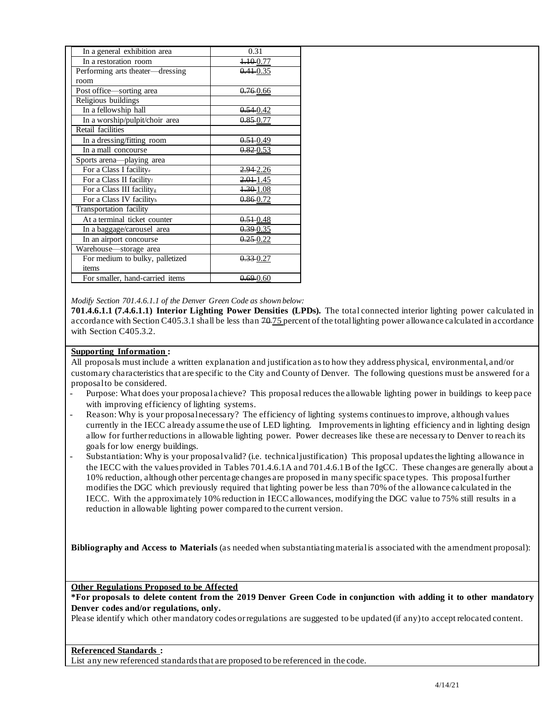| In a general exhibition area          | 0.31                  |
|---------------------------------------|-----------------------|
| In a restoration room                 | <del>1.10</del> -0.77 |
| Performing arts theater—dressing      | $0.41 - 0.35$         |
| room                                  |                       |
| Post office-sorting area              | 0.760.66              |
| Religious buildings                   |                       |
| In a fellowship hall                  | 0.54 0.42             |
| In a worship/pulpit/choir area        | $0.85 - 0.77$         |
| Retail facilities                     |                       |
| In a dressing/fitting room            | $0.51 - 0.49$         |
| In a mall concourse                   | $0.82\ 0.53$          |
| Sports arena-playing area             |                       |
| For a Class I facilitye               | 2.94 2.26             |
| For a Class II facilityf              | $2.01 - 1.45$         |
| For a Class III facility <sub>s</sub> | 1.30 1.08             |
| For a Class IV facilityh              | $0.86 - 0.72$         |
| Transportation facility               |                       |
| At a terminal ticket counter          | $0.51 - 0.48$         |
| In a baggage/carousel area            | 0.39 0.35             |
| In an airport concourse               | $0.25 - 0.22$         |
| Warehouse-storage area                |                       |
| For medium to bulky, palletized       | $0.33 - 0.27$         |
| items                                 |                       |
| For smaller, hand-carried items       | $0.69 - 0.60$         |

 *Modify Section 701.4.6.1.1 of the Denver Green Code as shown below:* 

 **701.4.6.1.1 (7.4.6.1.1) Interior Lighting Power Densities (LPDs).** The total connected interior lighting power calculated in accordance with Section C405.3.1 shall be less than 70-75 percent of the total lighting power allowance calculated in accordance with Section C405.3.2.

# **Supporting Information :**

 All proposals must include a written explanation and justification as to how they address physical, environmental, and/or customary characteristics that are specific to the City and County of Denver. The following questions must be answered for a proposalto be considered.

- - Purpose: What does your proposalachieve? This proposal reduces the allowable lighting power in buildings to keep pace with improving efficiency of lighting systems.
- - Reason: Why is your proposalnecessary? The efficiency of lighting systems continues to improve, although values currently in the IECC already assume the use of LED lighting. Improvements in lighting efficiency and in lighting design allow for further reductions in allowable lighting power. Power decreases like these are necessary to Denver to reach its goals for low energy buildings.
- - Substantiation: Why is your proposalvalid? (i.e. technicaljustification) This proposal updates the lighting allowance in the IECC with the values provided in Tables [701.4.6.1A](https://701.4.6.1A) and 701.4.6.1 B of the IgCC. These changes are generally about a 10% reduction, although other percentage changes are proposed in many specific space types. This proposalfurther modifies the DGC which previously required that lighting power be less than 70% of the allowance calculated in the IECC. With the approximately 10% reduction in IECC allowances, modifying the DGC value to 75% still results in a reduction in allowable lighting power compared to the current version.

 **Bibliography and Access to Materials** (as needed when substantiatingmaterialis associated with the amendment proposal):

**Other Regulations Proposed to be Affected** 

 **\*For proposals to delete content from the 2019 Denver Green Code in conjunction with adding it to other mandatory Denver codes and/or regulations, only.** 

Please identify which other mandatory codes or regulations are suggested to be updated (if any) to accept relocated content.

## **Referenced Standards :**

List any new referenced standards that are proposed to be referenced in the code.